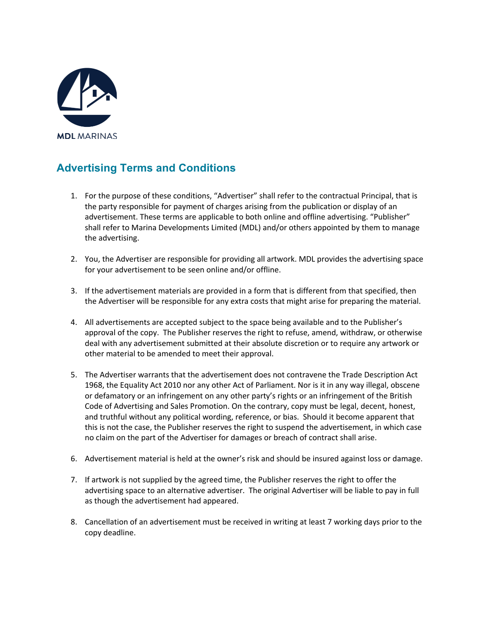

## **Advertising Terms and Conditions**

- 1. For the purpose of these conditions, "Advertiser" shall refer to the contractual Principal, that is the party responsible for payment of charges arising from the publication or display of an advertisement. These terms are applicable to both online and offline advertising. "Publisher" shall refer to Marina Developments Limited (MDL) and/or others appointed by them to manage the advertising.
- 2. You, the Advertiser are responsible for providing all artwork. MDL provides the advertising space for your advertisement to be seen online and/or offline.
- 3. If the advertisement materials are provided in a form that is different from that specified, then the Advertiser will be responsible for any extra costs that might arise for preparing the material.
- 4. All advertisements are accepted subject to the space being available and to the Publisher's approval of the copy. The Publisher reserves the right to refuse, amend, withdraw, or otherwise deal with any advertisement submitted at their absolute discretion or to require any artwork or other material to be amended to meet their approval.
- 5. The Advertiser warrants that the advertisement does not contravene the Trade Description Act 1968, the Equality Act 2010 nor any other Act of Parliament. Nor is it in any way illegal, obscene or defamatory or an infringement on any other party's rights or an infringement of the British Code of Advertising and Sales Promotion. On the contrary, copy must be legal, decent, honest, and truthful without any political wording, reference, or bias. Should it become apparent that this is not the case, the Publisher reserves the right to suspend the advertisement, in which case no claim on the part of the Advertiser for damages or breach of contract shall arise.
- 6. Advertisement material is held at the owner's risk and should be insured against loss or damage.
- 7. If artwork is not supplied by the agreed time, the Publisher reserves the right to offer the advertising space to an alternative advertiser. The original Advertiser will be liable to pay in full as though the advertisement had appeared.
- 8. Cancellation of an advertisement must be received in writing at least 7 working days prior to the copy deadline.